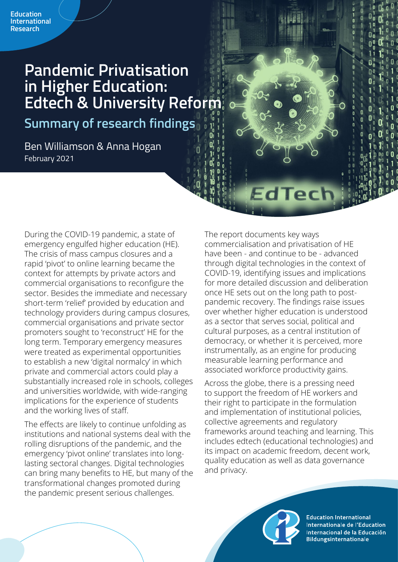# **Pandemic Privatisation in Higher Education: Edtech & University Reform**

**Summary of research findings**

Ben Williamson & Anna Hogan February 2021

During the COVID-19 pandemic, a state of emergency engulfed higher education (HE). The crisis of mass campus closures and a rapid 'pivot' to online learning became the context for attempts by private actors and commercial organisations to reconfigure the sector. Besides the immediate and necessary short-term 'relief' provided by education and technology providers during campus closures, commercial organisations and private sector promoters sought to 'reconstruct' HE for the long term. Temporary emergency measures were treated as experimental opportunities to establish a new 'digital normalcy' in which private and commercial actors could play a substantially increased role in schools, colleges and universities worldwide, with wide-ranging implications for the experience of students and the working lives of staff.

The effects are likely to continue unfolding as institutions and national systems deal with the rolling disruptions of the pandemic, and the emergency 'pivot online' translates into longlasting sectoral changes. Digital technologies can bring many benefits to HE, but many of the transformational changes promoted during the pandemic present serious challenges.

The report documents key ways commercialisation and privatisation of HE have been - and continue to be - advanced through digital technologies in the context of COVID-19, identifying issues and implications for more detailed discussion and deliberation once HE sets out on the long path to postpandemic recovery. The findings raise issues over whether higher education is understood as a sector that serves social, political and cultural purposes, as a central institution of democracy, or whether it is perceived, more instrumentally, as an engine for producing measurable learning performance and associated workforce productivity gains.

EdTect

Across the globe, there is a pressing need to support the freedom of HE workers and their right to participate in the formulation and implementation of institutional policies, collective agreements and regulatory frameworks around teaching and learning. This includes edtech (educational technologies) and its impact on academic freedom, decent work, quality education as well as data governance and privacy.

**Education International** Internationale de l'Education Internacional de la Educación **Bildungsinternationale**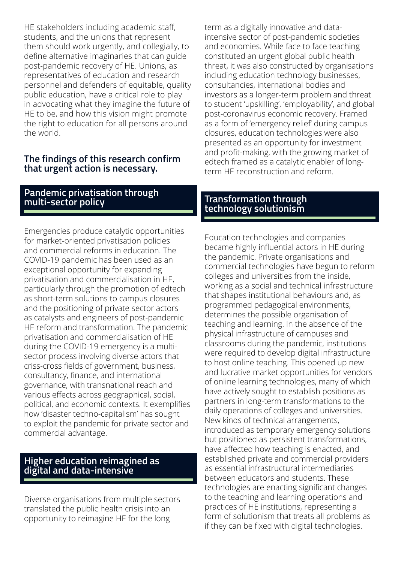HE stakeholders including academic staff, students, and the unions that represent them should work urgently, and collegially, to define alternative imaginaries that can guide post-pandemic recovery of HE. Unions, as representatives of education and research personnel and defenders of equitable, quality public education, have a critical role to play in advocating what they imagine the future of HE to be, and how this vision might promote the right to education for all persons around the world.

#### **The findings of this research confirm that urgent action is necessary.**

### **Pandemic privatisation through multi-sector policy**

Emergencies produce catalytic opportunities for market-oriented privatisation policies and commercial reforms in education. The COVID-19 pandemic has been used as an exceptional opportunity for expanding privatisation and commercialisation in HE, particularly through the promotion of edtech as short-term solutions to campus closures and the positioning of private sector actors as catalysts and engineers of post-pandemic HE reform and transformation. The pandemic privatisation and commercialisation of HE during the COVID-19 emergency is a multisector process involving diverse actors that criss-cross fields of government, business, consultancy, finance, and international governance, with transnational reach and various effects across geographical, social, political, and economic contexts. It exemplifies how 'disaster techno-capitalism' has sought to exploit the pandemic for private sector and commercial advantage.

#### **Higher education reimagined as digital and data-intensive**

Diverse organisations from multiple sectors translated the public health crisis into an opportunity to reimagine HE for the long

term as a digitally innovative and dataintensive sector of post-pandemic societies and economies. While face to face teaching constituted an urgent global public health threat, it was also constructed by organisations including education technology businesses, consultancies, international bodies and investors as a longer-term problem and threat to student 'upskilling', 'employability', and global post-coronavirus economic recovery. Framed as a form of 'emergency relief' during campus closures, education technologies were also presented as an opportunity for investment and profit-making, with the growing market of edtech framed as a catalytic enabler of longterm HE reconstruction and reform.

## **Transformation through technology solutionism**

Education technologies and companies became highly influential actors in HE during the pandemic. Private organisations and commercial technologies have begun to reform colleges and universities from the inside, working as a social and technical infrastructure that shapes institutional behaviours and, as programmed pedagogical environments, determines the possible organisation of teaching and learning. In the absence of the physical infrastructure of campuses and classrooms during the pandemic, institutions were required to develop digital infrastructure to host online teaching. This opened up new and lucrative market opportunities for vendors of online learning technologies, many of which have actively sought to establish positions as partners in long-term transformations to the daily operations of colleges and universities. New kinds of technical arrangements, introduced as temporary emergency solutions but positioned as persistent transformations, have affected how teaching is enacted, and established private and commercial providers as essential infrastructural intermediaries between educators and students. These technologies are enacting significant changes to the teaching and learning operations and practices of HE institutions, representing a form of solutionism that treats all problems as if they can be fixed with digital technologies.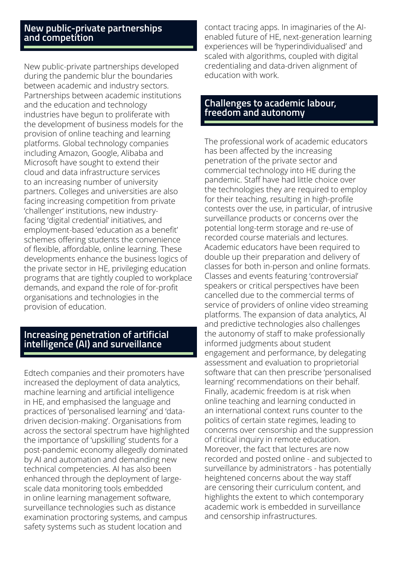#### **New public-private partnerships and competition**

New public-private partnerships developed during the pandemic blur the boundaries between academic and industry sectors. Partnerships between academic institutions and the education and technology industries have begun to proliferate with the development of business models for the provision of online teaching and learning platforms. Global technology companies including Amazon, Google, Alibaba and Microsoft have sought to extend their cloud and data infrastructure services to an increasing number of university partners. Colleges and universities are also facing increasing competition from private 'challenger' institutions, new industryfacing 'digital credential' initiatives, and employment-based 'education as a benefit' schemes offering students the convenience of flexible, affordable, online learning. These developments enhance the business logics of the private sector in HE, privileging education programs that are tightly coupled to workplace demands, and expand the role of for-profit organisations and technologies in the provision of education.

#### **Increasing penetration of artificial intelligence (AI) and surveillance**

Edtech companies and their promoters have increased the deployment of data analytics, machine learning and artificial intelligence in HE, and emphasised the language and practices of 'personalised learning' and 'datadriven decision-making'. Organisations from across the sectoral spectrum have highlighted the importance of 'upskilling' students for a post-pandemic economy allegedly dominated by AI and automation and demanding new technical competencies. AI has also been enhanced through the deployment of largescale data monitoring tools embedded in online learning management software, surveillance technologies such as distance examination proctoring systems, and campus safety systems such as student location and

contact tracing apps. In imaginaries of the AIenabled future of HE, next-generation learning experiences will be 'hyperindividualised' and scaled with algorithms, coupled with digital credentialing and data-driven alignment of education with work.

#### **Challenges to academic labour, freedom and autonomy**

The professional work of academic educators has been affected by the increasing penetration of the private sector and commercial technology into HE during the pandemic. Staff have had little choice over the technologies they are required to employ for their teaching, resulting in high-profile contests over the use, in particular, of intrusive surveillance products or concerns over the potential long-term storage and re-use of recorded course materials and lectures. Academic educators have been required to double up their preparation and delivery of classes for both in-person and online formats. Classes and events featuring 'controversial' speakers or critical perspectives have been cancelled due to the commercial terms of service of providers of online video streaming platforms. The expansion of data analytics, AI and predictive technologies also challenges the autonomy of staff to make professionally informed judgments about student engagement and performance, by delegating assessment and evaluation to proprietorial software that can then prescribe 'personalised learning' recommendations on their behalf. Finally, academic freedom is at risk when online teaching and learning conducted in an international context runs counter to the politics of certain state regimes, leading to concerns over censorship and the suppression of critical inquiry in remote education. Moreover, the fact that lectures are now recorded and posted online - and subjected to surveillance by administrators - has potentially heightened concerns about the way staff are censoring their curriculum content, and highlights the extent to which contemporary academic work is embedded in surveillance and censorship infrastructures.